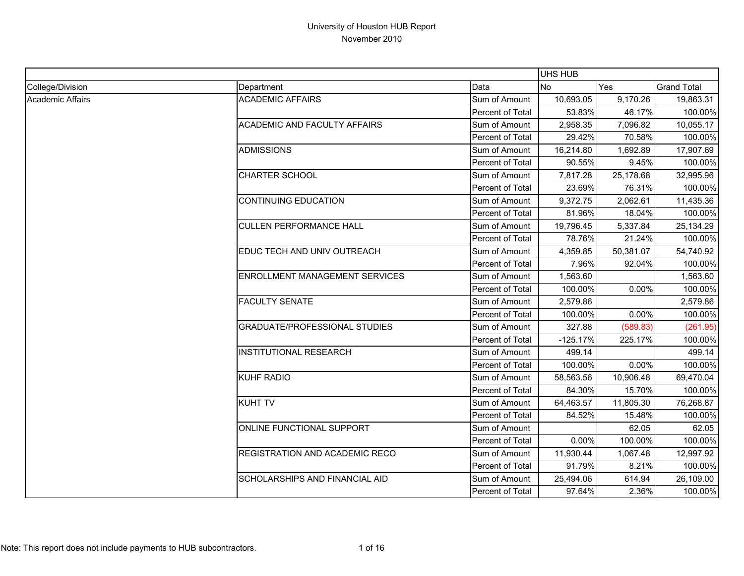|                  |                                       |                  | <b>UHS HUB</b> |           |                    |
|------------------|---------------------------------------|------------------|----------------|-----------|--------------------|
| College/Division | Department                            | Data             | No             | Yes       | <b>Grand Total</b> |
| Academic Affairs | <b>ACADEMIC AFFAIRS</b>               | Sum of Amount    | 10,693.05      | 9,170.26  | 19,863.31          |
|                  |                                       | Percent of Total | 53.83%         | 46.17%    | 100.00%            |
|                  | <b>ACADEMIC AND FACULTY AFFAIRS</b>   | Sum of Amount    | 2,958.35       | 7,096.82  | 10,055.17          |
|                  |                                       | Percent of Total | 29.42%         | 70.58%    | 100.00%            |
|                  | <b>ADMISSIONS</b>                     | Sum of Amount    | 16,214.80      | 1,692.89  | 17,907.69          |
|                  |                                       | Percent of Total | 90.55%         | 9.45%     | 100.00%            |
|                  | <b>CHARTER SCHOOL</b>                 | Sum of Amount    | 7,817.28       | 25,178.68 | 32,995.96          |
|                  |                                       | Percent of Total | 23.69%         | 76.31%    | 100.00%            |
|                  | <b>CONTINUING EDUCATION</b>           | Sum of Amount    | 9,372.75       | 2,062.61  | 11,435.36          |
|                  |                                       | Percent of Total | 81.96%         | 18.04%    | 100.00%            |
|                  | <b>CULLEN PERFORMANCE HALL</b>        | Sum of Amount    | 19,796.45      | 5,337.84  | 25,134.29          |
|                  |                                       | Percent of Total | 78.76%         | 21.24%    | 100.00%            |
|                  | EDUC TECH AND UNIV OUTREACH           | Sum of Amount    | 4,359.85       | 50,381.07 | 54,740.92          |
|                  |                                       | Percent of Total | 7.96%          | 92.04%    | 100.00%            |
|                  | <b>ENROLLMENT MANAGEMENT SERVICES</b> | Sum of Amount    | 1,563.60       |           | 1,563.60           |
|                  |                                       | Percent of Total | 100.00%        | 0.00%     | 100.00%            |
|                  | <b>FACULTY SENATE</b>                 | Sum of Amount    | 2,579.86       |           | 2,579.86           |
|                  |                                       | Percent of Total | 100.00%        | 0.00%     | 100.00%            |
|                  | <b>GRADUATE/PROFESSIONAL STUDIES</b>  | Sum of Amount    | 327.88         | (589.83)  | (261.95)           |
|                  |                                       | Percent of Total | $-125.17%$     | 225.17%   | 100.00%            |
|                  | <b>INSTITUTIONAL RESEARCH</b>         | Sum of Amount    | 499.14         |           | 499.14             |
|                  |                                       | Percent of Total | 100.00%        | 0.00%     | 100.00%            |
|                  | <b>KUHF RADIO</b>                     | Sum of Amount    | 58,563.56      | 10,906.48 | 69,470.04          |
|                  |                                       | Percent of Total | 84.30%         | 15.70%    | 100.00%            |
|                  | <b>KUHT TV</b>                        | Sum of Amount    | 64,463.57      | 11,805.30 | 76,268.87          |
|                  |                                       | Percent of Total | 84.52%         | 15.48%    | 100.00%            |
|                  | ONLINE FUNCTIONAL SUPPORT             | Sum of Amount    |                | 62.05     | 62.05              |
|                  |                                       | Percent of Total | 0.00%          | 100.00%   | 100.00%            |
|                  | REGISTRATION AND ACADEMIC RECO        | Sum of Amount    | 11,930.44      | 1,067.48  | 12,997.92          |
|                  |                                       | Percent of Total | 91.79%         | 8.21%     | 100.00%            |
|                  | <b>SCHOLARSHIPS AND FINANCIAL AID</b> | Sum of Amount    | 25,494.06      | 614.94    | 26,109.00          |
|                  |                                       | Percent of Total | 97.64%         | 2.36%     | 100.00%            |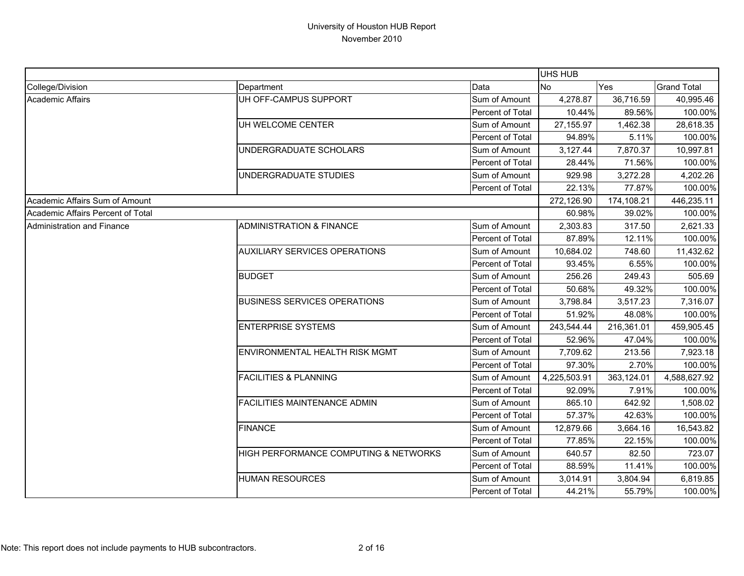|                                   |                                       |                         | <b>UHS HUB</b> |            |                    |
|-----------------------------------|---------------------------------------|-------------------------|----------------|------------|--------------------|
| College/Division                  | Department                            | Data                    | INo.           | Yes        | <b>Grand Total</b> |
| <b>Academic Affairs</b>           | UH OFF-CAMPUS SUPPORT                 | Sum of Amount           | 4,278.87       | 36,716.59  | 40,995.46          |
|                                   |                                       | <b>Percent of Total</b> | 10.44%         | 89.56%     | 100.00%            |
|                                   | UH WELCOME CENTER                     | Sum of Amount           | 27,155.97      | 1,462.38   | 28,618.35          |
|                                   |                                       | Percent of Total        | 94.89%         | 5.11%      | 100.00%            |
|                                   | UNDERGRADUATE SCHOLARS                | Sum of Amount           | 3,127.44       | 7,870.37   | 10,997.81          |
|                                   |                                       | Percent of Total        | 28.44%         | 71.56%     | 100.00%            |
|                                   | UNDERGRADUATE STUDIES                 | Sum of Amount           | 929.98         | 3,272.28   | 4,202.26           |
|                                   |                                       | Percent of Total        | 22.13%         | 77.87%     | 100.00%            |
| Academic Affairs Sum of Amount    |                                       |                         | 272,126.90     | 174,108.21 | 446,235.11         |
| Academic Affairs Percent of Total |                                       |                         | 60.98%         | 39.02%     | 100.00%            |
| Administration and Finance        | <b>ADMINISTRATION &amp; FINANCE</b>   | Sum of Amount           | 2,303.83       | 317.50     | 2,621.33           |
|                                   |                                       | Percent of Total        | 87.89%         | 12.11%     | 100.00%            |
|                                   | <b>AUXILIARY SERVICES OPERATIONS</b>  | Sum of Amount           | 10,684.02      | 748.60     | 11,432.62          |
|                                   |                                       | Percent of Total        | 93.45%         | 6.55%      | 100.00%            |
|                                   | <b>BUDGET</b>                         | Sum of Amount           | 256.26         | 249.43     | 505.69             |
|                                   |                                       | Percent of Total        | 50.68%         | 49.32%     | 100.00%            |
|                                   | <b>BUSINESS SERVICES OPERATIONS</b>   | Sum of Amount           | 3,798.84       | 3,517.23   | 7,316.07           |
|                                   |                                       | <b>Percent of Total</b> | 51.92%         | 48.08%     | 100.00%            |
|                                   | <b>ENTERPRISE SYSTEMS</b>             | Sum of Amount           | 243,544.44     | 216,361.01 | 459,905.45         |
|                                   |                                       | Percent of Total        | 52.96%         | 47.04%     | 100.00%            |
|                                   | <b>ENVIRONMENTAL HEALTH RISK MGMT</b> | Sum of Amount           | 7,709.62       | 213.56     | 7,923.18           |
|                                   |                                       | <b>Percent of Total</b> | 97.30%         | 2.70%      | 100.00%            |
|                                   | <b>FACILITIES &amp; PLANNING</b>      | Sum of Amount           | 4,225,503.91   | 363,124.01 | 4,588,627.92       |
|                                   |                                       | Percent of Total        | 92.09%         | 7.91%      | 100.00%            |
|                                   | <b>FACILITIES MAINTENANCE ADMIN</b>   | Sum of Amount           | 865.10         | 642.92     | 1,508.02           |
|                                   |                                       | Percent of Total        | 57.37%         | 42.63%     | 100.00%            |
|                                   | <b>FINANCE</b>                        | Sum of Amount           | 12,879.66      | 3,664.16   | 16,543.82          |
|                                   |                                       | Percent of Total        | 77.85%         | 22.15%     | 100.00%            |
|                                   | HIGH PERFORMANCE COMPUTING & NETWORKS | Sum of Amount           | 640.57         | 82.50      | 723.07             |
|                                   |                                       | Percent of Total        | 88.59%         | 11.41%     | 100.00%            |
|                                   | <b>HUMAN RESOURCES</b>                | Sum of Amount           | 3,014.91       | 3,804.94   | 6,819.85           |
|                                   |                                       | Percent of Total        | 44.21%         | 55.79%     | 100.00%            |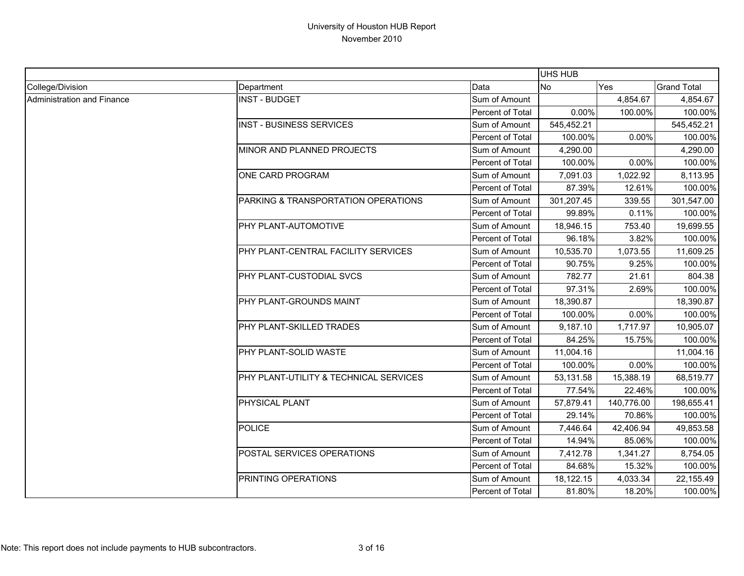|                            |                                        |                  | <b>UHS HUB</b> |            |                    |
|----------------------------|----------------------------------------|------------------|----------------|------------|--------------------|
| College/Division           | Department                             | Data             | <b>No</b>      | Yes        | <b>Grand Total</b> |
| Administration and Finance | <b>INST - BUDGET</b>                   | Sum of Amount    |                | 4,854.67   | 4,854.67           |
|                            |                                        | Percent of Total | 0.00%          | 100.00%    | 100.00%            |
|                            | <b>INST - BUSINESS SERVICES</b>        | Sum of Amount    | 545,452.21     |            | 545,452.21         |
|                            |                                        | Percent of Total | 100.00%        | 0.00%      | 100.00%            |
|                            | MINOR AND PLANNED PROJECTS             | Sum of Amount    | 4,290.00       |            | 4,290.00           |
|                            |                                        | Percent of Total | 100.00%        | 0.00%      | 100.00%            |
|                            | ONE CARD PROGRAM                       | Sum of Amount    | 7,091.03       | 1,022.92   | 8,113.95           |
|                            |                                        | Percent of Total | 87.39%         | 12.61%     | 100.00%            |
|                            | PARKING & TRANSPORTATION OPERATIONS    | Sum of Amount    | 301,207.45     | 339.55     | 301,547.00         |
|                            |                                        | Percent of Total | 99.89%         | 0.11%      | 100.00%            |
|                            | PHY PLANT-AUTOMOTIVE                   | Sum of Amount    | 18,946.15      | 753.40     | 19,699.55          |
|                            |                                        | Percent of Total | 96.18%         | 3.82%      | 100.00%            |
|                            | PHY PLANT-CENTRAL FACILITY SERVICES    | Sum of Amount    | 10,535.70      | 1,073.55   | 11,609.25          |
|                            |                                        | Percent of Total | 90.75%         | 9.25%      | 100.00%            |
|                            | PHY PLANT-CUSTODIAL SVCS               | Sum of Amount    | 782.77         | 21.61      | 804.38             |
|                            |                                        | Percent of Total | 97.31%         | 2.69%      | 100.00%            |
|                            | PHY PLANT-GROUNDS MAINT                | Sum of Amount    | 18,390.87      |            | 18,390.87          |
|                            |                                        | Percent of Total | 100.00%        | 0.00%      | 100.00%            |
|                            | PHY PLANT-SKILLED TRADES               | Sum of Amount    | 9,187.10       | 1,717.97   | 10,905.07          |
|                            |                                        | Percent of Total | 84.25%         | 15.75%     | 100.00%            |
|                            | PHY PLANT-SOLID WASTE                  | Sum of Amount    | 11,004.16      |            | 11,004.16          |
|                            |                                        | Percent of Total | 100.00%        | 0.00%      | 100.00%            |
|                            | PHY PLANT-UTILITY & TECHNICAL SERVICES | Sum of Amount    | 53,131.58      | 15,388.19  | 68,519.77          |
|                            |                                        | Percent of Total | 77.54%         | 22.46%     | 100.00%            |
|                            | PHYSICAL PLANT                         | Sum of Amount    | 57,879.41      | 140,776.00 | 198,655.41         |
|                            |                                        | Percent of Total | 29.14%         | 70.86%     | 100.00%            |
|                            | <b>POLICE</b>                          | Sum of Amount    | 7,446.64       | 42,406.94  | 49,853.58          |
|                            |                                        | Percent of Total | 14.94%         | 85.06%     | 100.00%            |
|                            | POSTAL SERVICES OPERATIONS             | Sum of Amount    | 7,412.78       | 1,341.27   | 8,754.05           |
|                            |                                        | Percent of Total | 84.68%         | 15.32%     | 100.00%            |
|                            | PRINTING OPERATIONS                    | Sum of Amount    | 18,122.15      | 4,033.34   | 22,155.49          |
|                            |                                        | Percent of Total | 81.80%         | 18.20%     | 100.00%            |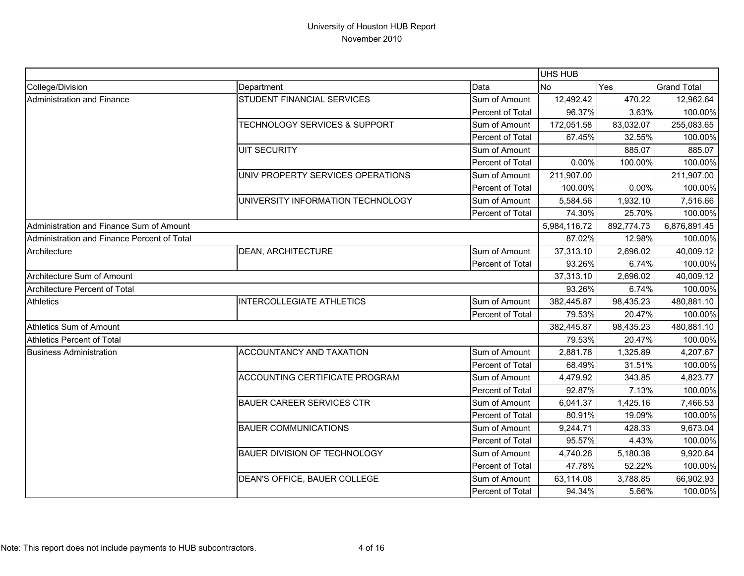|                                             |                                          |                  | <b>UHS HUB</b> |              |                    |
|---------------------------------------------|------------------------------------------|------------------|----------------|--------------|--------------------|
| College/Division                            | Department                               | Data             | <b>No</b>      | Yes          | <b>Grand Total</b> |
| Administration and Finance                  | STUDENT FINANCIAL SERVICES               | Sum of Amount    | 12,492.42      | 470.22       | 12,962.64          |
|                                             |                                          | Percent of Total | 96.37%         | 3.63%        | 100.00%            |
|                                             | <b>TECHNOLOGY SERVICES &amp; SUPPORT</b> | Sum of Amount    | 172,051.58     | 83,032.07    | 255,083.65         |
|                                             |                                          | Percent of Total | 67.45%         | 32.55%       | 100.00%            |
|                                             | <b>UIT SECURITY</b>                      | Sum of Amount    |                | 885.07       | 885.07             |
|                                             |                                          | Percent of Total | 0.00%          | 100.00%      | 100.00%            |
|                                             | UNIV PROPERTY SERVICES OPERATIONS        | Sum of Amount    | 211,907.00     |              | 211,907.00         |
|                                             |                                          | Percent of Total | 100.00%        | 0.00%        | 100.00%            |
|                                             | UNIVERSITY INFORMATION TECHNOLOGY        | Sum of Amount    | 5,584.56       | 1,932.10     | 7,516.66           |
|                                             |                                          | Percent of Total | 74.30%         | 25.70%       | 100.00%            |
| Administration and Finance Sum of Amount    |                                          | 5,984,116.72     | 892,774.73     | 6,876,891.45 |                    |
| Administration and Finance Percent of Total |                                          |                  | 87.02%         | 12.98%       | 100.00%            |
| Architecture                                | <b>DEAN, ARCHITECTURE</b>                | Sum of Amount    | 37,313.10      | 2,696.02     | 40,009.12          |
|                                             |                                          | Percent of Total | 93.26%         | 6.74%        | 100.00%            |
| Architecture Sum of Amount                  |                                          |                  | 37,313.10      | 2,696.02     | 40,009.12          |
| Architecture Percent of Total               |                                          |                  | 93.26%         | 6.74%        | 100.00%            |
| <b>Athletics</b>                            | <b>INTERCOLLEGIATE ATHLETICS</b>         | Sum of Amount    | 382,445.87     | 98,435.23    | 480,881.10         |
|                                             |                                          | Percent of Total | 79.53%         | 20.47%       | 100.00%            |
| Athletics Sum of Amount                     |                                          |                  | 382,445.87     | 98,435.23    | 480,881.10         |
| <b>Athletics Percent of Total</b>           |                                          |                  | 79.53%         | 20.47%       | 100.00%            |
| <b>Business Administration</b>              | <b>ACCOUNTANCY AND TAXATION</b>          | Sum of Amount    | 2,881.78       | 1,325.89     | 4,207.67           |
|                                             |                                          | Percent of Total | 68.49%         | 31.51%       | 100.00%            |
|                                             | ACCOUNTING CERTIFICATE PROGRAM           | Sum of Amount    | 4,479.92       | 343.85       | 4,823.77           |
|                                             |                                          | Percent of Total | 92.87%         | 7.13%        | 100.00%            |
|                                             | <b>BAUER CAREER SERVICES CTR</b>         | Sum of Amount    | 6,041.37       | 1,425.16     | 7,466.53           |
|                                             |                                          | Percent of Total | 80.91%         | 19.09%       | 100.00%            |
|                                             | <b>BAUER COMMUNICATIONS</b>              | Sum of Amount    | 9,244.71       | 428.33       | 9,673.04           |
|                                             |                                          | Percent of Total | 95.57%         | 4.43%        | 100.00%            |
|                                             | BAUER DIVISION OF TECHNOLOGY             | Sum of Amount    | 4,740.26       | 5,180.38     | 9,920.64           |
|                                             |                                          | Percent of Total | 47.78%         | 52.22%       | 100.00%            |
|                                             | DEAN'S OFFICE, BAUER COLLEGE             | Sum of Amount    | 63,114.08      | 3,788.85     | 66,902.93          |
|                                             |                                          | Percent of Total | 94.34%         | 5.66%        | 100.00%            |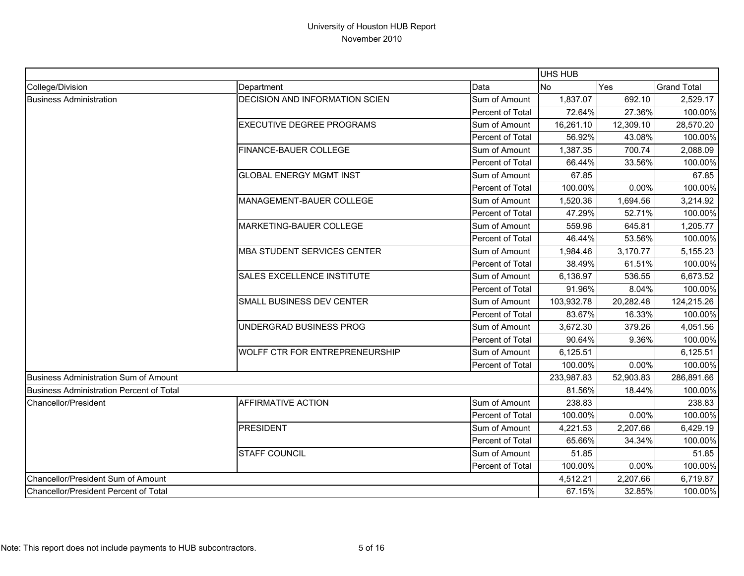|                                                 |                                       |                  | <b>UHS HUB</b> |           |                    |
|-------------------------------------------------|---------------------------------------|------------------|----------------|-----------|--------------------|
| College/Division                                | Department                            | Data             | <b>No</b>      | Yes       | <b>Grand Total</b> |
| <b>Business Administration</b>                  | <b>DECISION AND INFORMATION SCIEN</b> | Sum of Amount    | 1,837.07       | 692.10    | 2,529.17           |
|                                                 |                                       | Percent of Total | 72.64%         | 27.36%    | 100.00%            |
|                                                 | <b>EXECUTIVE DEGREE PROGRAMS</b>      | Sum of Amount    | 16,261.10      | 12,309.10 | 28,570.20          |
|                                                 |                                       | Percent of Total | 56.92%         | 43.08%    | 100.00%            |
|                                                 | FINANCE-BAUER COLLEGE                 | Sum of Amount    | 1,387.35       | 700.74    | 2,088.09           |
|                                                 |                                       | Percent of Total | 66.44%         | 33.56%    | 100.00%            |
|                                                 | <b>GLOBAL ENERGY MGMT INST</b>        | Sum of Amount    | 67.85          |           | 67.85              |
|                                                 |                                       | Percent of Total | 100.00%        | 0.00%     | 100.00%            |
|                                                 | MANAGEMENT-BAUER COLLEGE              | Sum of Amount    | 1,520.36       | 1,694.56  | 3,214.92           |
|                                                 |                                       | Percent of Total | 47.29%         | 52.71%    | 100.00%            |
|                                                 | MARKETING-BAUER COLLEGE               | Sum of Amount    | 559.96         | 645.81    | 1,205.77           |
|                                                 |                                       | Percent of Total | 46.44%         | 53.56%    | 100.00%            |
|                                                 | <b>MBA STUDENT SERVICES CENTER</b>    | Sum of Amount    | 1,984.46       | 3,170.77  | 5,155.23           |
|                                                 |                                       | Percent of Total | 38.49%         | 61.51%    | 100.00%            |
|                                                 | SALES EXCELLENCE INSTITUTE            | Sum of Amount    | 6,136.97       | 536.55    | 6,673.52           |
|                                                 |                                       | Percent of Total | 91.96%         | 8.04%     | 100.00%            |
|                                                 | <b>SMALL BUSINESS DEV CENTER</b>      | Sum of Amount    | 103,932.78     | 20,282.48 | 124,215.26         |
|                                                 |                                       | Percent of Total | 83.67%         | 16.33%    | 100.00%            |
|                                                 | UNDERGRAD BUSINESS PROG               | Sum of Amount    | 3,672.30       | 379.26    | 4,051.56           |
|                                                 |                                       | Percent of Total | 90.64%         | 9.36%     | 100.00%            |
|                                                 | WOLFF CTR FOR ENTREPRENEURSHIP        | Sum of Amount    | 6,125.51       |           | 6,125.51           |
|                                                 |                                       | Percent of Total | 100.00%        | 0.00%     | 100.00%            |
| Business Administration Sum of Amount           |                                       |                  | 233,987.83     | 52,903.83 | 286,891.66         |
| <b>Business Administration Percent of Total</b> |                                       |                  | 81.56%         | 18.44%    | 100.00%            |
| <b>Chancellor/President</b>                     | AFFIRMATIVE ACTION                    | Sum of Amount    | 238.83         |           | 238.83             |
|                                                 |                                       | Percent of Total | 100.00%        | 0.00%     | 100.00%            |
|                                                 | PRESIDENT                             | Sum of Amount    | 4,221.53       | 2,207.66  | 6,429.19           |
|                                                 |                                       | Percent of Total | 65.66%         | 34.34%    | 100.00%            |
|                                                 | <b>STAFF COUNCIL</b>                  | Sum of Amount    | 51.85          |           | 51.85              |
|                                                 |                                       | Percent of Total | 100.00%        | 0.00%     | 100.00%            |
| Chancellor/President Sum of Amount              |                                       |                  | 4,512.21       | 2,207.66  | 6,719.87           |
| <b>Chancellor/President Percent of Total</b>    |                                       |                  | 67.15%         | 32.85%    | 100.00%            |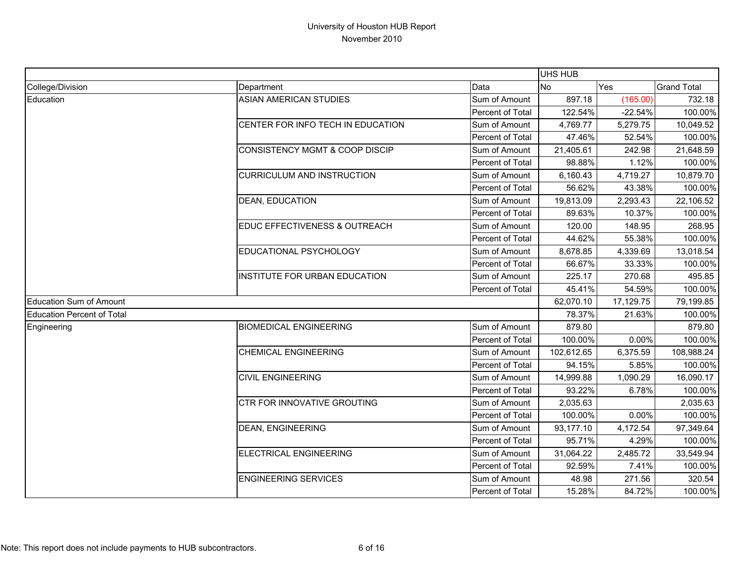|                                   |                                          |                         | UHS HUB    |           |                    |
|-----------------------------------|------------------------------------------|-------------------------|------------|-----------|--------------------|
| College/Division                  | Department                               | Data                    | <b>No</b>  | Yes       | <b>Grand Total</b> |
| Education                         | <b>ASIAN AMERICAN STUDIES</b>            | Sum of Amount           | 897.18     | (165.00)  | 732.18             |
|                                   |                                          | Percent of Total        | 122.54%    | $-22.54%$ | 100.00%            |
|                                   | CENTER FOR INFO TECH IN EDUCATION        | Sum of Amount           | 4,769.77   | 5,279.75  | 10,049.52          |
|                                   |                                          | Percent of Total        | 47.46%     | 52.54%    | 100.00%            |
|                                   | CONSISTENCY MGMT & COOP DISCIP           | Sum of Amount           | 21,405.61  | 242.98    | 21,648.59          |
|                                   |                                          | Percent of Total        | 98.88%     | 1.12%     | 100.00%            |
|                                   | <b>CURRICULUM AND INSTRUCTION</b>        | Sum of Amount           | 6,160.43   | 4,719.27  | 10,879.70          |
|                                   |                                          | <b>Percent of Total</b> | 56.62%     | 43.38%    | 100.00%            |
|                                   | <b>DEAN, EDUCATION</b>                   | Sum of Amount           | 19,813.09  | 2,293.43  | 22,106.52          |
|                                   |                                          | Percent of Total        | 89.63%     | 10.37%    | 100.00%            |
|                                   | <b>EDUC EFFECTIVENESS &amp; OUTREACH</b> | Sum of Amount           | 120.00     | 148.95    | 268.95             |
|                                   |                                          | Percent of Total        | 44.62%     | 55.38%    | 100.00%            |
|                                   | EDUCATIONAL PSYCHOLOGY                   | Sum of Amount           | 8,678.85   | 4,339.69  | 13,018.54          |
|                                   |                                          | Percent of Total        | 66.67%     | 33.33%    | 100.00%            |
|                                   | <b>INSTITUTE FOR URBAN EDUCATION</b>     | Sum of Amount           | 225.17     | 270.68    | 495.85             |
|                                   |                                          | Percent of Total        | 45.41%     | 54.59%    | 100.00%            |
| <b>Education Sum of Amount</b>    |                                          |                         | 62,070.10  | 17,129.75 | 79,199.85          |
| <b>Education Percent of Total</b> |                                          |                         | 78.37%     | 21.63%    | 100.00%            |
| Engineering                       | <b>BIOMEDICAL ENGINEERING</b>            | Sum of Amount           | 879.80     |           | 879.80             |
|                                   |                                          | Percent of Total        | 100.00%    | 0.00%     | 100.00%            |
|                                   | <b>CHEMICAL ENGINEERING</b>              | Sum of Amount           | 102,612.65 | 6,375.59  | 108,988.24         |
|                                   |                                          | Percent of Total        | 94.15%     | 5.85%     | 100.00%            |
|                                   | <b>CIVIL ENGINEERING</b>                 | Sum of Amount           | 14,999.88  | 1,090.29  | 16,090.17          |
|                                   |                                          | Percent of Total        | 93.22%     | 6.78%     | 100.00%            |
|                                   | CTR FOR INNOVATIVE GROUTING              | Sum of Amount           | 2,035.63   |           | 2,035.63           |
|                                   |                                          | Percent of Total        | 100.00%    | 0.00%     | 100.00%            |
|                                   | <b>DEAN, ENGINEERING</b>                 | Sum of Amount           | 93,177.10  | 4,172.54  | 97,349.64          |
|                                   |                                          | Percent of Total        | 95.71%     | 4.29%     | 100.00%            |
|                                   | <b>ELECTRICAL ENGINEERING</b>            | Sum of Amount           | 31,064.22  | 2,485.72  | 33,549.94          |
|                                   |                                          | Percent of Total        | 92.59%     | 7.41%     | 100.00%            |
|                                   | <b>ENGINEERING SERVICES</b>              | Sum of Amount           | 48.98      | 271.56    | 320.54             |
|                                   |                                          | Percent of Total        | 15.28%     | 84.72%    | 100.00%            |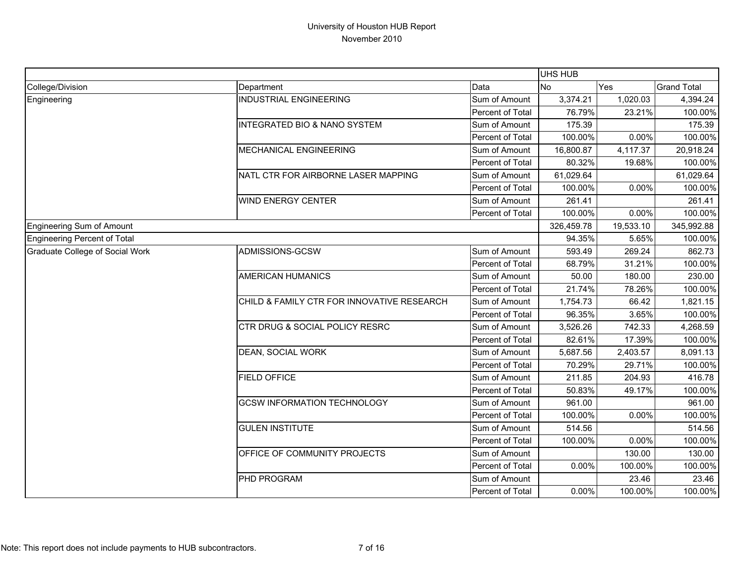|                                 |                                            |                  | <b>UHS HUB</b> |           |                    |
|---------------------------------|--------------------------------------------|------------------|----------------|-----------|--------------------|
| College/Division                | Department                                 | Data             | <b>No</b>      | Yes       | <b>Grand Total</b> |
| Engineering                     | <b>INDUSTRIAL ENGINEERING</b>              | Sum of Amount    | 3,374.21       | 1,020.03  | 4,394.24           |
|                                 |                                            | Percent of Total | 76.79%         | 23.21%    | 100.00%            |
|                                 | <b>INTEGRATED BIO &amp; NANO SYSTEM</b>    | Sum of Amount    | 175.39         |           | 175.39             |
|                                 |                                            | Percent of Total | 100.00%        | 0.00%     | 100.00%            |
|                                 | MECHANICAL ENGINEERING                     | Sum of Amount    | 16,800.87      | 4,117.37  | 20,918.24          |
|                                 |                                            | Percent of Total | 80.32%         | 19.68%    | 100.00%            |
|                                 | NATL CTR FOR AIRBORNE LASER MAPPING        | Sum of Amount    | 61,029.64      |           | 61,029.64          |
|                                 |                                            | Percent of Total | 100.00%        | $0.00\%$  | 100.00%            |
|                                 | <b>WIND ENERGY CENTER</b>                  | Sum of Amount    | 261.41         |           | 261.41             |
|                                 |                                            | Percent of Total | 100.00%        | 0.00%     | 100.00%            |
| Engineering Sum of Amount       |                                            |                  | 326,459.78     | 19,533.10 | 345,992.88         |
| Engineering Percent of Total    |                                            |                  | 94.35%         | 5.65%     | 100.00%            |
| Graduate College of Social Work | ADMISSIONS-GCSW                            | Sum of Amount    | 593.49         | 269.24    | 862.73             |
|                                 |                                            | Percent of Total | 68.79%         | 31.21%    | 100.00%            |
|                                 | <b>AMERICAN HUMANICS</b>                   | Sum of Amount    | 50.00          | 180.00    | 230.00             |
|                                 |                                            | Percent of Total | 21.74%         | 78.26%    | 100.00%            |
|                                 | CHILD & FAMILY CTR FOR INNOVATIVE RESEARCH | Sum of Amount    | 1,754.73       | 66.42     | 1,821.15           |
|                                 |                                            | Percent of Total | 96.35%         | 3.65%     | 100.00%            |
|                                 | <b>CTR DRUG &amp; SOCIAL POLICY RESRC</b>  | Sum of Amount    | 3,526.26       | 742.33    | 4,268.59           |
|                                 |                                            | Percent of Total | 82.61%         | 17.39%    | 100.00%            |
|                                 | DEAN, SOCIAL WORK                          | Sum of Amount    | 5,687.56       | 2,403.57  | 8,091.13           |
|                                 |                                            | Percent of Total | 70.29%         | 29.71%    | 100.00%            |
|                                 | <b>FIELD OFFICE</b>                        | Sum of Amount    | 211.85         | 204.93    | 416.78             |
|                                 |                                            | Percent of Total | 50.83%         | 49.17%    | 100.00%            |
|                                 | <b>GCSW INFORMATION TECHNOLOGY</b>         | Sum of Amount    | 961.00         |           | 961.00             |
|                                 |                                            | Percent of Total | 100.00%        | 0.00%     | 100.00%            |
|                                 | <b>GULEN INSTITUTE</b>                     | Sum of Amount    | 514.56         |           | 514.56             |
|                                 |                                            | Percent of Total | 100.00%        | 0.00%     | 100.00%            |
|                                 | OFFICE OF COMMUNITY PROJECTS               | Sum of Amount    |                | 130.00    | 130.00             |
|                                 |                                            | Percent of Total | 0.00%          | 100.00%   | 100.00%            |
|                                 | <b>PHD PROGRAM</b>                         | Sum of Amount    |                | 23.46     | 23.46              |
|                                 |                                            | Percent of Total | 0.00%          | 100.00%   | 100.00%            |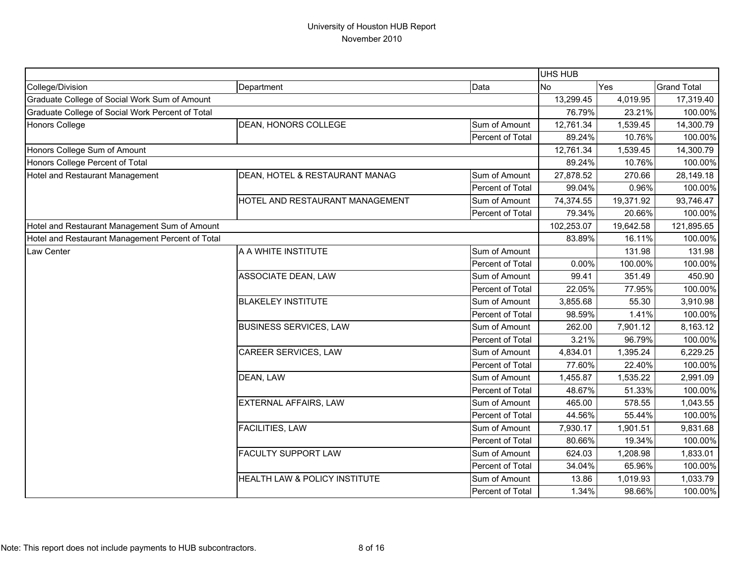|                                                  |                                 |                  | UHS HUB    |           |                    |
|--------------------------------------------------|---------------------------------|------------------|------------|-----------|--------------------|
| College/Division                                 | Department                      | Data             | <b>No</b>  | Yes       | <b>Grand Total</b> |
| Graduate College of Social Work Sum of Amount    |                                 |                  | 13,299.45  | 4,019.95  | 17,319.40          |
| Graduate College of Social Work Percent of Total |                                 |                  | 76.79%     | 23.21%    | 100.00%            |
| <b>Honors College</b>                            | <b>DEAN, HONORS COLLEGE</b>     | Sum of Amount    | 12,761.34  | 1,539.45  | 14,300.79          |
|                                                  |                                 | Percent of Total | 89.24%     | 10.76%    | 100.00%            |
| Honors College Sum of Amount                     |                                 |                  | 12,761.34  | 1,539.45  | 14,300.79          |
| Honors College Percent of Total                  |                                 |                  | 89.24%     | 10.76%    | 100.00%            |
| Hotel and Restaurant Management                  | DEAN, HOTEL & RESTAURANT MANAG  | Sum of Amount    | 27,878.52  | 270.66    | 28,149.18          |
|                                                  |                                 | Percent of Total | 99.04%     | 0.96%     | 100.00%            |
|                                                  | HOTEL AND RESTAURANT MANAGEMENT | Sum of Amount    | 74,374.55  | 19,371.92 | 93,746.47          |
|                                                  |                                 | Percent of Total | 79.34%     | 20.66%    | 100.00%            |
| Hotel and Restaurant Management Sum of Amount    |                                 |                  | 102,253.07 | 19,642.58 | 121,895.65         |
| Hotel and Restaurant Management Percent of Total |                                 |                  | 83.89%     | 16.11%    | 100.00%            |
| Law Center                                       | A A WHITE INSTITUTE             | Sum of Amount    |            | 131.98    | 131.98             |
|                                                  |                                 | Percent of Total | 0.00%      | 100.00%   | 100.00%            |
|                                                  | ASSOCIATE DEAN, LAW             | Sum of Amount    | 99.41      | 351.49    | 450.90             |
|                                                  |                                 | Percent of Total | 22.05%     | 77.95%    | 100.00%            |
|                                                  | <b>BLAKELEY INSTITUTE</b>       | Sum of Amount    | 3,855.68   | 55.30     | 3,910.98           |
|                                                  |                                 | Percent of Total | 98.59%     | 1.41%     | 100.00%            |
|                                                  | <b>BUSINESS SERVICES, LAW</b>   | Sum of Amount    | 262.00     | 7,901.12  | 8,163.12           |
|                                                  |                                 | Percent of Total | 3.21%      | 96.79%    | 100.00%            |
|                                                  | CAREER SERVICES, LAW            | Sum of Amount    | 4,834.01   | 1,395.24  | 6,229.25           |
|                                                  |                                 | Percent of Total | 77.60%     | 22.40%    | 100.00%            |
|                                                  | DEAN, LAW                       | Sum of Amount    | 1,455.87   | 1,535.22  | 2,991.09           |
|                                                  |                                 | Percent of Total | 48.67%     | 51.33%    | 100.00%            |
|                                                  | <b>EXTERNAL AFFAIRS, LAW</b>    | Sum of Amount    | 465.00     | 578.55    | 1,043.55           |
|                                                  |                                 | Percent of Total | 44.56%     | 55.44%    | 100.00%            |
|                                                  | <b>FACILITIES, LAW</b>          | Sum of Amount    | 7,930.17   | 1,901.51  | 9,831.68           |
|                                                  |                                 | Percent of Total | 80.66%     | 19.34%    | 100.00%            |
|                                                  | <b>FACULTY SUPPORT LAW</b>      | Sum of Amount    | 624.03     | 1,208.98  | 1,833.01           |
|                                                  |                                 | Percent of Total | 34.04%     | 65.96%    | 100.00%            |
|                                                  | HEALTH LAW & POLICY INSTITUTE   | Sum of Amount    | 13.86      | 1,019.93  | 1,033.79           |
|                                                  |                                 | Percent of Total | 1.34%      | 98.66%    | 100.00%            |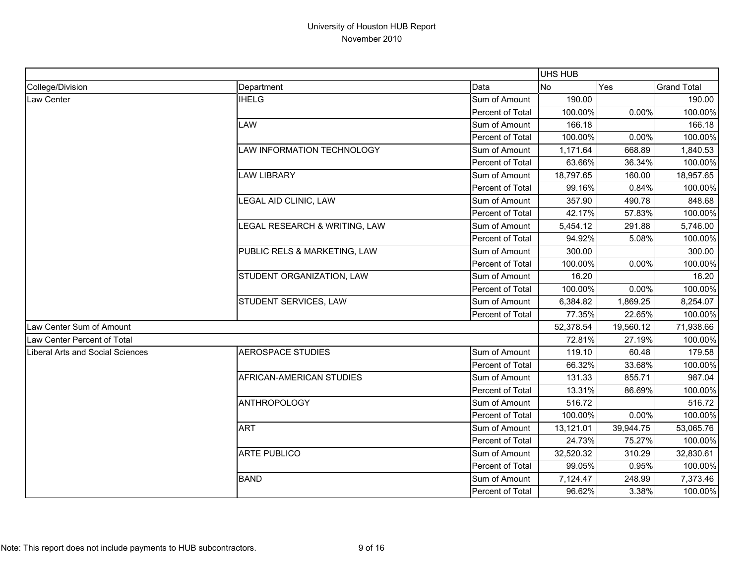|                                  |                               |                         | <b>UHS HUB</b> |           |                    |
|----------------------------------|-------------------------------|-------------------------|----------------|-----------|--------------------|
| College/Division                 | Department                    | Data                    | INo.           | Yes       | <b>Grand Total</b> |
| Law Center                       | <b>IHELG</b>                  | Sum of Amount           | 190.00         |           | 190.00             |
|                                  |                               | Percent of Total        | 100.00%        | 0.00%     | 100.00%            |
|                                  | <b>LAW</b>                    | Sum of Amount           | 166.18         |           | 166.18             |
|                                  |                               | <b>Percent of Total</b> | 100.00%        | 0.00%     | 100.00%            |
|                                  | LAW INFORMATION TECHNOLOGY    | Sum of Amount           | 1,171.64       | 668.89    | 1,840.53           |
|                                  |                               | Percent of Total        | 63.66%         | 36.34%    | 100.00%            |
|                                  | <b>LAW LIBRARY</b>            | Sum of Amount           | 18,797.65      | 160.00    | 18,957.65          |
|                                  |                               | Percent of Total        | 99.16%         | 0.84%     | 100.00%            |
|                                  | LEGAL AID CLINIC, LAW         | Sum of Amount           | 357.90         | 490.78    | 848.68             |
|                                  |                               | Percent of Total        | 42.17%         | 57.83%    | 100.00%            |
|                                  | LEGAL RESEARCH & WRITING, LAW | Sum of Amount           | 5,454.12       | 291.88    | 5,746.00           |
|                                  |                               | Percent of Total        | 94.92%         | 5.08%     | 100.00%            |
|                                  | PUBLIC RELS & MARKETING, LAW  | Sum of Amount           | 300.00         |           | 300.00             |
|                                  |                               | Percent of Total        | 100.00%        | 0.00%     | 100.00%            |
|                                  | STUDENT ORGANIZATION, LAW     | Sum of Amount           | 16.20          |           | 16.20              |
|                                  |                               | Percent of Total        | 100.00%        | 0.00%     | 100.00%            |
|                                  | STUDENT SERVICES, LAW         | Sum of Amount           | 6,384.82       | 1,869.25  | 8,254.07           |
|                                  |                               | Percent of Total        | 77.35%         | 22.65%    | 100.00%            |
| Law Center Sum of Amount         |                               |                         | 52,378.54      | 19,560.12 | 71,938.66          |
| Law Center Percent of Total      |                               |                         | 72.81%         | 27.19%    | 100.00%            |
| Liberal Arts and Social Sciences | <b>AEROSPACE STUDIES</b>      | Sum of Amount           | 119.10         | 60.48     | 179.58             |
|                                  |                               | Percent of Total        | 66.32%         | 33.68%    | 100.00%            |
|                                  | AFRICAN-AMERICAN STUDIES      | Sum of Amount           | 131.33         | 855.71    | 987.04             |
|                                  |                               | Percent of Total        | 13.31%         | 86.69%    | 100.00%            |
|                                  | <b>ANTHROPOLOGY</b>           | Sum of Amount           | 516.72         |           | 516.72             |
|                                  |                               | Percent of Total        | 100.00%        | 0.00%     | 100.00%            |
|                                  | <b>ART</b>                    | Sum of Amount           | 13,121.01      | 39,944.75 | 53,065.76          |
|                                  |                               | Percent of Total        | 24.73%         | 75.27%    | 100.00%            |
|                                  | <b>ARTE PUBLICO</b>           | Sum of Amount           | 32,520.32      | 310.29    | 32,830.61          |
|                                  |                               | Percent of Total        | 99.05%         | 0.95%     | 100.00%            |
|                                  | <b>BAND</b>                   | Sum of Amount           | 7,124.47       | 248.99    | 7,373.46           |
|                                  |                               | Percent of Total        | 96.62%         | 3.38%     | 100.00%            |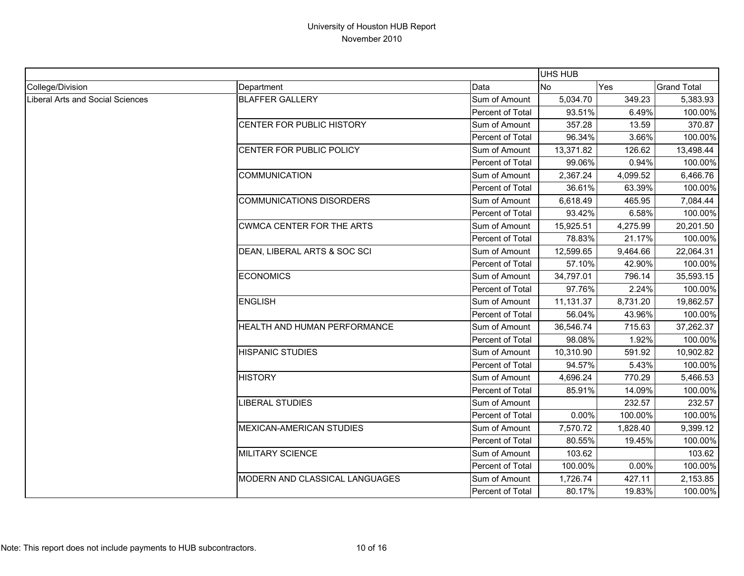|                                         |                                  |                  | <b>UHS HUB</b> |          |                    |
|-----------------------------------------|----------------------------------|------------------|----------------|----------|--------------------|
| College/Division                        | Department                       | Data             | No.            | Yes      | <b>Grand Total</b> |
| <b>Liberal Arts and Social Sciences</b> | <b>BLAFFER GALLERY</b>           | Sum of Amount    | 5,034.70       | 349.23   | 5,383.93           |
|                                         |                                  | Percent of Total | 93.51%         | 6.49%    | 100.00%            |
|                                         | CENTER FOR PUBLIC HISTORY        | Sum of Amount    | 357.28         | 13.59    | 370.87             |
|                                         |                                  | Percent of Total | 96.34%         | 3.66%    | 100.00%            |
|                                         | CENTER FOR PUBLIC POLICY         | Sum of Amount    | 13,371.82      | 126.62   | 13,498.44          |
|                                         |                                  | Percent of Total | 99.06%         | 0.94%    | 100.00%            |
|                                         | <b>COMMUNICATION</b>             | Sum of Amount    | 2,367.24       | 4,099.52 | 6,466.76           |
|                                         |                                  | Percent of Total | 36.61%         | 63.39%   | 100.00%            |
|                                         | <b>COMMUNICATIONS DISORDERS</b>  | Sum of Amount    | 6,618.49       | 465.95   | 7,084.44           |
|                                         |                                  | Percent of Total | 93.42%         | 6.58%    | 100.00%            |
|                                         | <b>CWMCA CENTER FOR THE ARTS</b> | Sum of Amount    | 15,925.51      | 4,275.99 | 20,201.50          |
|                                         |                                  | Percent of Total | 78.83%         | 21.17%   | 100.00%            |
|                                         | DEAN, LIBERAL ARTS & SOC SCI     | Sum of Amount    | 12,599.65      | 9,464.66 | 22,064.31          |
|                                         |                                  | Percent of Total | 57.10%         | 42.90%   | 100.00%            |
|                                         | <b>ECONOMICS</b>                 | Sum of Amount    | 34,797.01      | 796.14   | 35,593.15          |
|                                         |                                  | Percent of Total | 97.76%         | 2.24%    | 100.00%            |
|                                         | <b>ENGLISH</b>                   | Sum of Amount    | 11,131.37      | 8,731.20 | 19,862.57          |
|                                         |                                  | Percent of Total | 56.04%         | 43.96%   | 100.00%            |
|                                         | HEALTH AND HUMAN PERFORMANCE     | Sum of Amount    | 36,546.74      | 715.63   | 37,262.37          |
|                                         |                                  | Percent of Total | 98.08%         | 1.92%    | 100.00%            |
|                                         | <b>HISPANIC STUDIES</b>          | Sum of Amount    | 10.310.90      | 591.92   | 10,902.82          |
|                                         |                                  | Percent of Total | 94.57%         | 5.43%    | 100.00%            |
|                                         | <b>HISTORY</b>                   | Sum of Amount    | 4,696.24       | 770.29   | 5,466.53           |
|                                         |                                  | Percent of Total | 85.91%         | 14.09%   | 100.00%            |
|                                         | <b>LIBERAL STUDIES</b>           | Sum of Amount    |                | 232.57   | 232.57             |
|                                         |                                  | Percent of Total | 0.00%          | 100.00%  | 100.00%            |
|                                         | <b>MEXICAN-AMERICAN STUDIES</b>  | Sum of Amount    | 7,570.72       | 1,828.40 | 9,399.12           |
|                                         |                                  | Percent of Total | 80.55%         | 19.45%   | 100.00%            |
|                                         | MILITARY SCIENCE                 | Sum of Amount    | 103.62         |          | 103.62             |
|                                         |                                  | Percent of Total | 100.00%        | 0.00%    | 100.00%            |
|                                         | MODERN AND CLASSICAL LANGUAGES   | Sum of Amount    | 1,726.74       | 427.11   | 2,153.85           |
|                                         |                                  | Percent of Total | 80.17%         | 19.83%   | 100.00%            |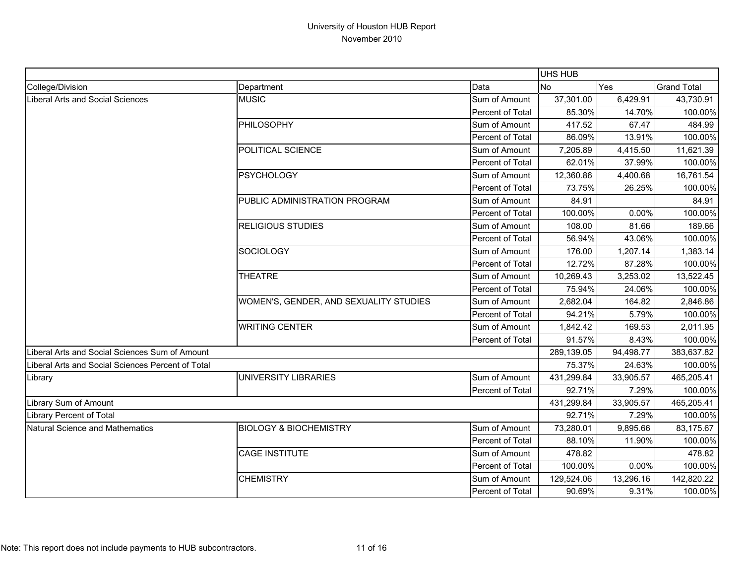|                                                   |                                        |                         | <b>UHS HUB</b> |           |                    |
|---------------------------------------------------|----------------------------------------|-------------------------|----------------|-----------|--------------------|
| College/Division                                  | Department                             | Data                    | <b>No</b>      | Yes       | <b>Grand Total</b> |
| <b>Liberal Arts and Social Sciences</b>           | <b>MUSIC</b>                           | Sum of Amount           | 37,301.00      | 6,429.91  | 43,730.91          |
|                                                   |                                        | Percent of Total        | 85.30%         | 14.70%    | 100.00%            |
|                                                   | PHILOSOPHY                             | Sum of Amount           | 417.52         | 67.47     | 484.99             |
|                                                   |                                        | Percent of Total        | 86.09%         | 13.91%    | 100.00%            |
|                                                   | POLITICAL SCIENCE                      | Sum of Amount           | 7,205.89       | 4,415.50  | 11,621.39          |
|                                                   |                                        | Percent of Total        | 62.01%         | 37.99%    | 100.00%            |
|                                                   | <b>PSYCHOLOGY</b>                      | Sum of Amount           | 12,360.86      | 4,400.68  | 16,761.54          |
|                                                   |                                        | <b>Percent of Total</b> | 73.75%         | 26.25%    | 100.00%            |
|                                                   | PUBLIC ADMINISTRATION PROGRAM          | Sum of Amount           | 84.91          |           | 84.91              |
|                                                   |                                        | Percent of Total        | 100.00%        | 0.00%     | 100.00%            |
|                                                   | <b>RELIGIOUS STUDIES</b>               | Sum of Amount           | 108.00         | 81.66     | 189.66             |
|                                                   |                                        | <b>Percent of Total</b> | 56.94%         | 43.06%    | 100.00%            |
|                                                   | SOCIOLOGY                              | Sum of Amount           | 176.00         | 1,207.14  | 1,383.14           |
|                                                   |                                        | Percent of Total        | 12.72%         | 87.28%    | 100.00%            |
|                                                   | <b>THEATRE</b>                         | Sum of Amount           | 10,269.43      | 3,253.02  | 13,522.45          |
|                                                   |                                        | Percent of Total        | 75.94%         | 24.06%    | 100.00%            |
|                                                   | WOMEN'S, GENDER, AND SEXUALITY STUDIES | Sum of Amount           | 2,682.04       | 164.82    | 2,846.86           |
|                                                   |                                        | Percent of Total        | 94.21%         | 5.79%     | 100.00%            |
|                                                   | <b>WRITING CENTER</b>                  | Sum of Amount           | 1,842.42       | 169.53    | 2,011.95           |
|                                                   |                                        | Percent of Total        | 91.57%         | 8.43%     | 100.00%            |
| Liberal Arts and Social Sciences Sum of Amount    |                                        |                         | 289,139.05     | 94,498.77 | 383,637.82         |
| Liberal Arts and Social Sciences Percent of Total |                                        |                         | 75.37%         | 24.63%    | 100.00%            |
| Library                                           | UNIVERSITY LIBRARIES                   | Sum of Amount           | 431,299.84     | 33,905.57 | 465,205.41         |
|                                                   |                                        | Percent of Total        | 92.71%         | 7.29%     | 100.00%            |
| Library Sum of Amount                             |                                        |                         | 431,299.84     | 33,905.57 | 465,205.41         |
| Library Percent of Total                          |                                        |                         | 92.71%         | 7.29%     | 100.00%            |
| <b>Natural Science and Mathematics</b>            | <b>BIOLOGY &amp; BIOCHEMISTRY</b>      | Sum of Amount           | 73,280.01      | 9,895.66  | 83,175.67          |
|                                                   |                                        | Percent of Total        | 88.10%         | 11.90%    | 100.00%            |
|                                                   | <b>CAGE INSTITUTE</b>                  | Sum of Amount           | 478.82         |           | 478.82             |
|                                                   |                                        | Percent of Total        | 100.00%        | 0.00%     | 100.00%            |
|                                                   | <b>CHEMISTRY</b>                       | Sum of Amount           | 129,524.06     | 13,296.16 | 142,820.22         |
|                                                   |                                        | Percent of Total        | 90.69%         | 9.31%     | 100.00%            |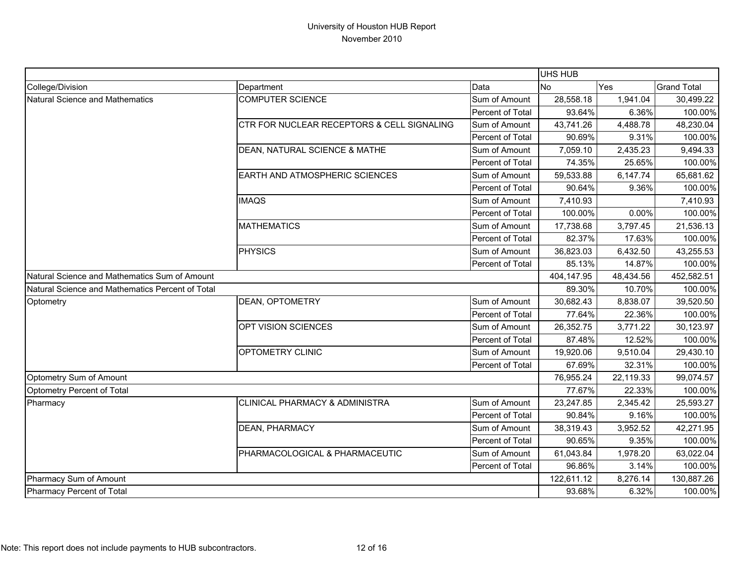|                                                  |                                                       |                         | UHS HUB        |           |                    |
|--------------------------------------------------|-------------------------------------------------------|-------------------------|----------------|-----------|--------------------|
| College/Division                                 | Department                                            | Data                    | N <sub>o</sub> | Yes       | <b>Grand Total</b> |
| Natural Science and Mathematics                  | <b>COMPUTER SCIENCE</b>                               | Sum of Amount           | 28,558.18      | 1,941.04  | 30,499.22          |
|                                                  |                                                       | Percent of Total        | 93.64%         | 6.36%     | 100.00%            |
|                                                  | <b>CTR FOR NUCLEAR RECEPTORS &amp; CELL SIGNALING</b> | Sum of Amount           | 43,741.26      | 4,488.78  | 48,230.04          |
|                                                  |                                                       | Percent of Total        | 90.69%         | 9.31%     | 100.00%            |
|                                                  | DEAN, NATURAL SCIENCE & MATHE                         | Sum of Amount           | 7,059.10       | 2,435.23  | 9,494.33           |
|                                                  |                                                       | Percent of Total        | 74.35%         | 25.65%    | 100.00%            |
|                                                  | EARTH AND ATMOSPHERIC SCIENCES                        | Sum of Amount           | 59,533.88      | 6,147.74  | 65,681.62          |
|                                                  |                                                       | Percent of Total        | 90.64%         | 9.36%     | 100.00%            |
|                                                  | <b>IMAQS</b>                                          | Sum of Amount           | 7,410.93       |           | 7,410.93           |
|                                                  |                                                       | Percent of Total        | 100.00%        | 0.00%     | 100.00%            |
|                                                  | <b>MATHEMATICS</b>                                    | Sum of Amount           | 17,738.68      | 3,797.45  | 21,536.13          |
|                                                  |                                                       | Percent of Total        | 82.37%         | 17.63%    | 100.00%            |
|                                                  | <b>PHYSICS</b>                                        | Sum of Amount           | 36,823.03      | 6,432.50  | 43,255.53          |
|                                                  |                                                       | Percent of Total        | 85.13%         | 14.87%    | 100.00%            |
| Natural Science and Mathematics Sum of Amount    |                                                       |                         | 404,147.95     | 48,434.56 | 452,582.51         |
| Natural Science and Mathematics Percent of Total |                                                       |                         | 89.30%         | 10.70%    | 100.00%            |
| Optometry                                        | <b>DEAN, OPTOMETRY</b>                                | Sum of Amount           | 30,682.43      | 8,838.07  | 39,520.50          |
|                                                  |                                                       | Percent of Total        | 77.64%         | 22.36%    | 100.00%            |
|                                                  | OPT VISION SCIENCES                                   | Sum of Amount           | 26,352.75      | 3,771.22  | 30,123.97          |
|                                                  |                                                       | Percent of Total        | 87.48%         | 12.52%    | 100.00%            |
|                                                  | OPTOMETRY CLINIC                                      | Sum of Amount           | 19,920.06      | 9,510.04  | 29,430.10          |
|                                                  |                                                       | Percent of Total        | 67.69%         | 32.31%    | 100.00%            |
| Optometry Sum of Amount                          |                                                       |                         | 76,955.24      | 22,119.33 | 99,074.57          |
| Optometry Percent of Total                       |                                                       |                         | 77.67%         | 22.33%    | 100.00%            |
| Pharmacy                                         | <b>CLINICAL PHARMACY &amp; ADMINISTRA</b>             | Sum of Amount           | 23,247.85      | 2,345.42  | 25,593.27          |
|                                                  |                                                       | <b>Percent of Total</b> | 90.84%         | 9.16%     | 100.00%            |
|                                                  | <b>DEAN, PHARMACY</b>                                 | Sum of Amount           | 38,319.43      | 3,952.52  | 42,271.95          |
|                                                  |                                                       | Percent of Total        | 90.65%         | 9.35%     | 100.00%            |
|                                                  | PHARMACOLOGICAL & PHARMACEUTIC                        | Sum of Amount           | 61,043.84      | 1,978.20  | 63,022.04          |
|                                                  |                                                       | Percent of Total        | 96.86%         | 3.14%     | 100.00%            |
| Pharmacy Sum of Amount                           |                                                       |                         | 122,611.12     | 8,276.14  | 130,887.26         |
| Pharmacy Percent of Total                        |                                                       |                         | 93.68%         | 6.32%     | 100.00%            |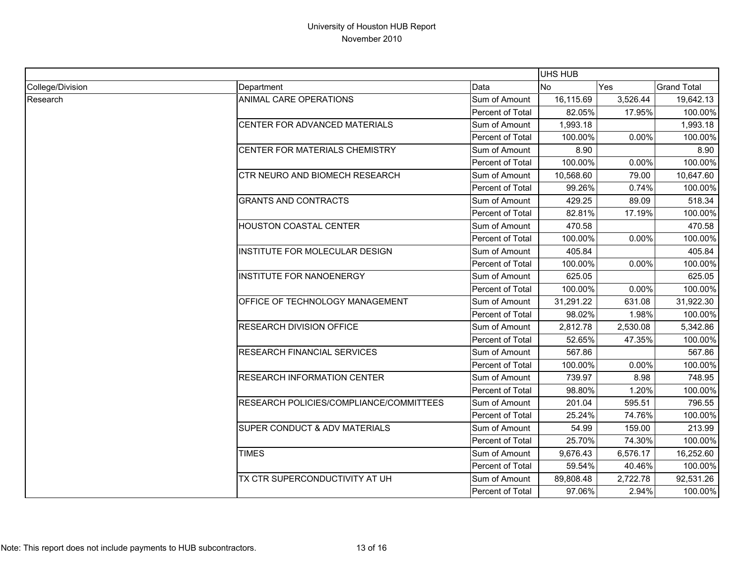|                  |                                         |                         | <b>UHS HUB</b> |          |                    |
|------------------|-----------------------------------------|-------------------------|----------------|----------|--------------------|
| College/Division | Department                              | Data                    | N <sub>O</sub> | Yes      | <b>Grand Total</b> |
| Research         | ANIMAL CARE OPERATIONS                  | Sum of Amount           | 16,115.69      | 3,526.44 | 19,642.13          |
|                  |                                         | Percent of Total        | 82.05%         | 17.95%   | 100.00%            |
|                  | CENTER FOR ADVANCED MATERIALS           | Sum of Amount           | 1,993.18       |          | 1,993.18           |
|                  |                                         | Percent of Total        | 100.00%        | 0.00%    | 100.00%            |
|                  | CENTER FOR MATERIALS CHEMISTRY          | Sum of Amount           | 8.90           |          | 8.90               |
|                  |                                         | Percent of Total        | 100.00%        | 0.00%    | 100.00%            |
|                  | CTR NEURO AND BIOMECH RESEARCH          | Sum of Amount           | 10,568.60      | 79.00    | 10,647.60          |
|                  |                                         | Percent of Total        | 99.26%         | 0.74%    | 100.00%            |
|                  | <b>GRANTS AND CONTRACTS</b>             | Sum of Amount           | 429.25         | 89.09    | 518.34             |
|                  |                                         | Percent of Total        | 82.81%         | 17.19%   | 100.00%            |
|                  | <b>HOUSTON COASTAL CENTER</b>           | Sum of Amount           | 470.58         |          | 470.58             |
|                  |                                         | Percent of Total        | 100.00%        | 0.00%    | 100.00%            |
|                  | INSTITUTE FOR MOLECULAR DESIGN          | Sum of Amount           | 405.84         |          | 405.84             |
|                  |                                         | Percent of Total        | 100.00%        | $0.00\%$ | 100.00%            |
|                  | <b>INSTITUTE FOR NANOENERGY</b>         | Sum of Amount           | 625.05         |          | 625.05             |
|                  |                                         | Percent of Total        | 100.00%        | 0.00%    | 100.00%            |
|                  | OFFICE OF TECHNOLOGY MANAGEMENT         | Sum of Amount           | 31,291.22      | 631.08   | 31,922.30          |
|                  |                                         | <b>Percent of Total</b> | 98.02%         | 1.98%    | 100.00%            |
|                  | <b>RESEARCH DIVISION OFFICE</b>         | Sum of Amount           | 2,812.78       | 2,530.08 | 5,342.86           |
|                  |                                         | Percent of Total        | 52.65%         | 47.35%   | 100.00%            |
|                  | RESEARCH FINANCIAL SERVICES             | Sum of Amount           | 567.86         |          | 567.86             |
|                  |                                         | Percent of Total        | 100.00%        | 0.00%    | 100.00%            |
|                  | RESEARCH INFORMATION CENTER             | Sum of Amount           | 739.97         | 8.98     | 748.95             |
|                  |                                         | Percent of Total        | 98.80%         | 1.20%    | 100.00%            |
|                  | RESEARCH POLICIES/COMPLIANCE/COMMITTEES | Sum of Amount           | 201.04         | 595.51   | 796.55             |
|                  |                                         | Percent of Total        | 25.24%         | 74.76%   | 100.00%            |
|                  | SUPER CONDUCT & ADV MATERIALS           | Sum of Amount           | 54.99          | 159.00   | 213.99             |
|                  |                                         | Percent of Total        | 25.70%         | 74.30%   | 100.00%            |
|                  | <b>TIMES</b>                            | Sum of Amount           | 9,676.43       | 6,576.17 | 16,252.60          |
|                  |                                         | Percent of Total        | 59.54%         | 40.46%   | 100.00%            |
|                  | TX CTR SUPERCONDUCTIVITY AT UH          | Sum of Amount           | 89,808.48      | 2,722.78 | 92,531.26          |
|                  |                                         | Percent of Total        | 97.06%         | 2.94%    | 100.00%            |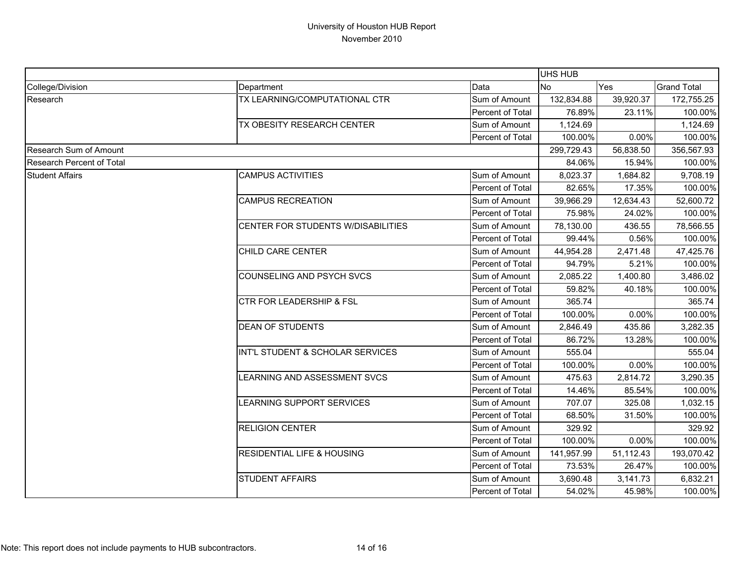|                                  |                                       |                         | <b>UHS HUB</b> |           |                    |  |
|----------------------------------|---------------------------------------|-------------------------|----------------|-----------|--------------------|--|
| College/Division                 | Department                            | Data                    | <b>No</b>      | Yes       | <b>Grand Total</b> |  |
| Research                         | TX LEARNING/COMPUTATIONAL CTR         | Sum of Amount           | 132,834.88     | 39,920.37 | 172,755.25         |  |
|                                  |                                       | Percent of Total        | 76.89%         | 23.11%    | 100.00%            |  |
|                                  | TX OBESITY RESEARCH CENTER            | Sum of Amount           | 1,124.69       |           | 1,124.69           |  |
|                                  |                                       | Percent of Total        | 100.00%        | 0.00%     | 100.00%            |  |
| Research Sum of Amount           |                                       |                         | 299,729.43     | 56,838.50 | 356,567.93         |  |
| <b>Research Percent of Total</b> |                                       |                         | 84.06%         | 15.94%    | 100.00%            |  |
| <b>Student Affairs</b>           | <b>CAMPUS ACTIVITIES</b>              | Sum of Amount           | 8,023.37       | 1,684.82  | 9,708.19           |  |
|                                  |                                       | Percent of Total        | 82.65%         | 17.35%    | 100.00%            |  |
|                                  | <b>CAMPUS RECREATION</b>              | Sum of Amount           | 39,966.29      | 12,634.43 | 52,600.72          |  |
|                                  |                                       | Percent of Total        | 75.98%         | 24.02%    | 100.00%            |  |
|                                  | CENTER FOR STUDENTS W/DISABILITIES    | Sum of Amount           | 78,130.00      | 436.55    | 78,566.55          |  |
|                                  |                                       | Percent of Total        | 99.44%         | 0.56%     | 100.00%            |  |
|                                  | CHILD CARE CENTER                     | Sum of Amount           | 44,954.28      | 2,471.48  | 47,425.76          |  |
|                                  |                                       | Percent of Total        | 94.79%         | 5.21%     | 100.00%            |  |
|                                  | COUNSELING AND PSYCH SVCS             | Sum of Amount           | 2,085.22       | 1,400.80  | 3,486.02           |  |
|                                  |                                       | Percent of Total        | 59.82%         | 40.18%    | 100.00%            |  |
|                                  | <b>CTR FOR LEADERSHIP &amp; FSL</b>   | Sum of Amount           | 365.74         |           | 365.74             |  |
|                                  |                                       | Percent of Total        | 100.00%        | 0.00%     | 100.00%            |  |
|                                  | <b>DEAN OF STUDENTS</b>               | Sum of Amount           | 2,846.49       | 435.86    | 3,282.35           |  |
|                                  |                                       | Percent of Total        | 86.72%         | 13.28%    | 100.00%            |  |
|                                  | INT'L STUDENT & SCHOLAR SERVICES      | Sum of Amount           | 555.04         |           | 555.04             |  |
|                                  |                                       | <b>Percent of Total</b> | 100.00%        | 0.00%     | 100.00%            |  |
|                                  | LEARNING AND ASSESSMENT SVCS          | Sum of Amount           | 475.63         | 2,814.72  | 3,290.35           |  |
|                                  |                                       | Percent of Total        | 14.46%         | 85.54%    | 100.00%            |  |
|                                  | LEARNING SUPPORT SERVICES             | Sum of Amount           | 707.07         | 325.08    | 1,032.15           |  |
|                                  |                                       | Percent of Total        | 68.50%         | 31.50%    | 100.00%            |  |
|                                  | <b>RELIGION CENTER</b>                | Sum of Amount           | 329.92         |           | 329.92             |  |
|                                  |                                       | Percent of Total        | 100.00%        | $0.00\%$  | 100.00%            |  |
|                                  | <b>RESIDENTIAL LIFE &amp; HOUSING</b> | Sum of Amount           | 141,957.99     | 51,112.43 | 193,070.42         |  |
|                                  |                                       | Percent of Total        | 73.53%         | 26.47%    | 100.00%            |  |
|                                  | <b>STUDENT AFFAIRS</b>                | Sum of Amount           | 3,690.48       | 3,141.73  | 6,832.21           |  |
|                                  |                                       | Percent of Total        | 54.02%         | 45.98%    | 100.00%            |  |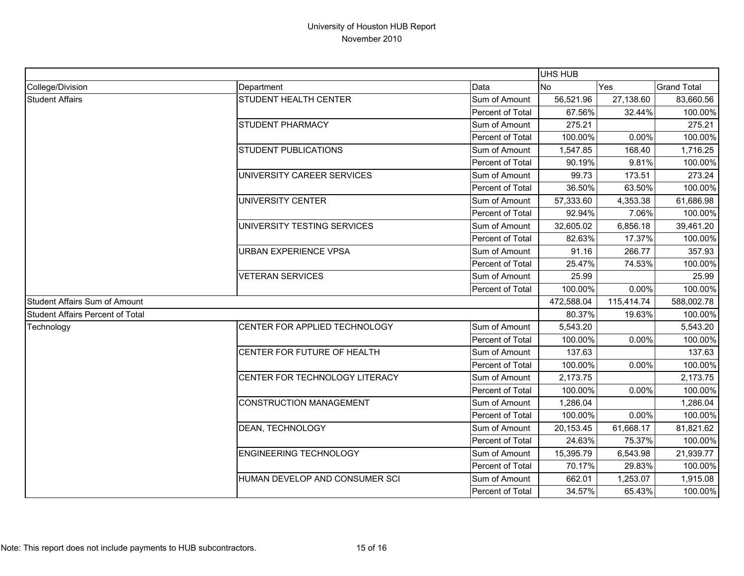|                                         |                                |                         | UHS HUB    |            |                    |
|-----------------------------------------|--------------------------------|-------------------------|------------|------------|--------------------|
| College/Division                        | Department                     | Data                    | <b>No</b>  | Yes        | <b>Grand Total</b> |
| <b>Student Affairs</b>                  | <b>STUDENT HEALTH CENTER</b>   | Sum of Amount           | 56,521.96  | 27,138.60  | 83,660.56          |
|                                         |                                | Percent of Total        | 67.56%     | 32.44%     | 100.00%            |
|                                         | <b>STUDENT PHARMACY</b>        | Sum of Amount           | 275.21     |            | 275.21             |
|                                         |                                | Percent of Total        | 100.00%    | 0.00%      | 100.00%            |
|                                         | <b>STUDENT PUBLICATIONS</b>    | Sum of Amount           | 1,547.85   | 168.40     | 1,716.25           |
|                                         |                                | Percent of Total        | 90.19%     | 9.81%      | 100.00%            |
|                                         | UNIVERSITY CAREER SERVICES     | Sum of Amount           | 99.73      | 173.51     | 273.24             |
|                                         |                                | Percent of Total        | 36.50%     | 63.50%     | 100.00%            |
|                                         | UNIVERSITY CENTER              | Sum of Amount           | 57,333.60  | 4,353.38   | 61,686.98          |
|                                         |                                | Percent of Total        | 92.94%     | 7.06%      | 100.00%            |
|                                         | UNIVERSITY TESTING SERVICES    | Sum of Amount           | 32,605.02  | 6,856.18   | 39,461.20          |
|                                         |                                | <b>Percent of Total</b> | 82.63%     | 17.37%     | 100.00%            |
|                                         | <b>URBAN EXPERIENCE VPSA</b>   | Sum of Amount           | 91.16      | 266.77     | 357.93             |
|                                         |                                | Percent of Total        | 25.47%     | 74.53%     | 100.00%            |
|                                         | <b>VETERAN SERVICES</b>        | Sum of Amount           | 25.99      |            | 25.99              |
|                                         |                                | <b>Percent of Total</b> | 100.00%    | 0.00%      | 100.00%            |
| <b>Student Affairs Sum of Amount</b>    |                                | 472,588.04              | 115,414.74 | 588,002.78 |                    |
| <b>Student Affairs Percent of Total</b> |                                |                         | 80.37%     | 19.63%     | 100.00%            |
| Technology                              | CENTER FOR APPLIED TECHNOLOGY  | Sum of Amount           | 5,543.20   |            | 5,543.20           |
|                                         |                                | Percent of Total        | 100.00%    | 0.00%      | 100.00%            |
|                                         | CENTER FOR FUTURE OF HEALTH    | Sum of Amount           | 137.63     |            | 137.63             |
|                                         |                                | Percent of Total        | 100.00%    | 0.00%      | 100.00%            |
|                                         | CENTER FOR TECHNOLOGY LITERACY | Sum of Amount           | 2,173.75   |            | 2,173.75           |
|                                         |                                | Percent of Total        | 100.00%    | 0.00%      | 100.00%            |
|                                         | <b>CONSTRUCTION MANAGEMENT</b> | Sum of Amount           | 1,286.04   |            | 1,286.04           |
|                                         |                                | Percent of Total        | 100.00%    | 0.00%      | 100.00%            |
|                                         | <b>DEAN, TECHNOLOGY</b>        | Sum of Amount           | 20,153.45  | 61,668.17  | 81,821.62          |
|                                         |                                | Percent of Total        | 24.63%     | 75.37%     | 100.00%            |
|                                         | <b>ENGINEERING TECHNOLOGY</b>  | Sum of Amount           | 15,395.79  | 6,543.98   | 21,939.77          |
|                                         |                                | Percent of Total        | 70.17%     | 29.83%     | 100.00%            |
|                                         | HUMAN DEVELOP AND CONSUMER SCI | Sum of Amount           | 662.01     | 1,253.07   | 1,915.08           |
|                                         |                                | Percent of Total        | 34.57%     | 65.43%     | 100.00%            |